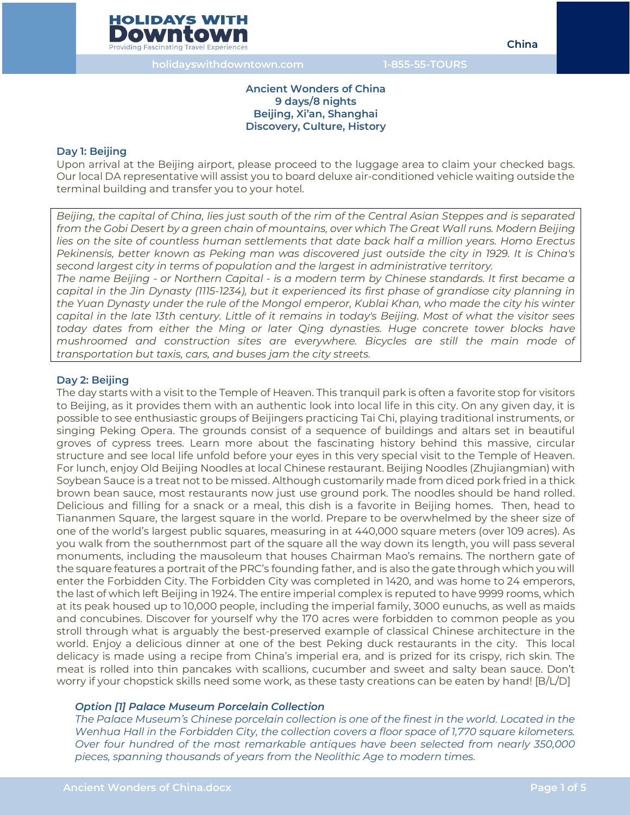## **Ancient Wonders of China 9 days/8 nights Beijing, Xi'an, Shanghai Discovery, Culture, History**

#### **Day 1: Beijing**

Upon arrival at the Beijing airport, please proceed to the luggage area to claim your checked bags. Our local DA representative will assist you to board deluxe air-conditioned vehicle waiting outside the terminal building and transfer you to your hotel.

*Beijing, the capital of China, lies just south of the rim of the Central Asian Steppes and is separated from the Gobi Desert by a green chain of mountains, over which The Great Wall runs. Modern Beijing lies on the site of countless human settlements that date back half a million years. Homo Erectus Pekinensis, better known as Peking man was discovered just outside the city in 1929. It is China's second largest city in terms of population and the largest in administrative territory.* 

*The name Beijing - or Northern Capital - is a modern term by Chinese standards. It first became a capital in the Jin Dynasty (1115-1234), but it experienced its first phase of grandiose city planning in the Yuan Dynasty under the rule of the Mongol emperor, Kublai Khan, who made the city his winter capital in the late 13th century. Little of it remains in today's Beijing. Most of what the visitor sees today dates from either the Ming or later Qing dynasties. Huge concrete tower blocks have mushroomed and construction sites are everywhere. Bicycles are still the main mode of transportation but taxis, cars, and buses jam the city streets.* 

## **Day 2: Beijing**

The day starts with a visit to the Temple of Heaven. This tranquil park is often a favorite stop for visitors to Beijing, as it provides them with an authentic look into local life in this city. On any given day, it is possible to see enthusiastic groups of Beijingers practicing Tai Chi, playing traditional instruments, or singing Peking Opera. The grounds consist of a sequence of buildings and altars set in beautiful groves of cypress trees. Learn more about the fascinating history behind this massive, circular structure and see local life unfold before your eyes in this very special visit to the Temple of Heaven. For lunch, enjoy Old Beijing Noodles at local Chinese restaurant. Beijing Noodles (Zhujiangmian) with Soybean Sauce is a treat not to be missed. Although customarily made from diced pork fried in a thick brown bean sauce, most restaurants now just use ground pork. The noodles should be hand rolled. Delicious and filling for a snack or a meal, this dish is a favorite in Beijing homes. Then, head to Tiananmen Square, the largest square in the world. Prepare to be overwhelmed by the sheer size of one of the world's largest public squares, measuring in at 440,000 square meters (over 109 acres). As you walk from the southernmost part of the square all the way down its length, you will pass several monuments, including the mausoleum that houses Chairman Mao's remains. The northern gate of the square features a portrait of the PRC's founding father, and is also the gate through which you will enter the Forbidden City. The Forbidden City was completed in 1420, and was home to 24 emperors, the last of which left Beijing in 1924. The entire imperial complex is reputed to have 9999 rooms, which at its peak housed up to 10,000 people, including the imperial family, 3000 eunuchs, as well as maids and concubines. Discover for yourself why the 170 acres were forbidden to common people as you stroll through what is arguably the best-preserved example of classical Chinese architecture in the world. Enjoy a delicious dinner at one of the best Peking duck restaurants in the city. This local delicacy is made using a recipe from China's imperial era, and is prized for its crispy, rich skin. The meat is rolled into thin pancakes with scallions, cucumber and sweet and salty bean sauce. Don't worry if your chopstick skills need some work, as these tasty creations can be eaten by hand! [B/L/D]

## *Option [1] Palace Museum Porcelain Collection*

*The Palace Museum's Chinese porcelain collection is one of the finest in the world. Located in the Wenhua Hall in the Forbidden City, the collection covers a floor space of 1,770 square kilometers. Over four hundred of the most remarkable antiques have been selected from nearly 350,000 pieces, spanning thousands of years from the Neolithic Age to modern times.*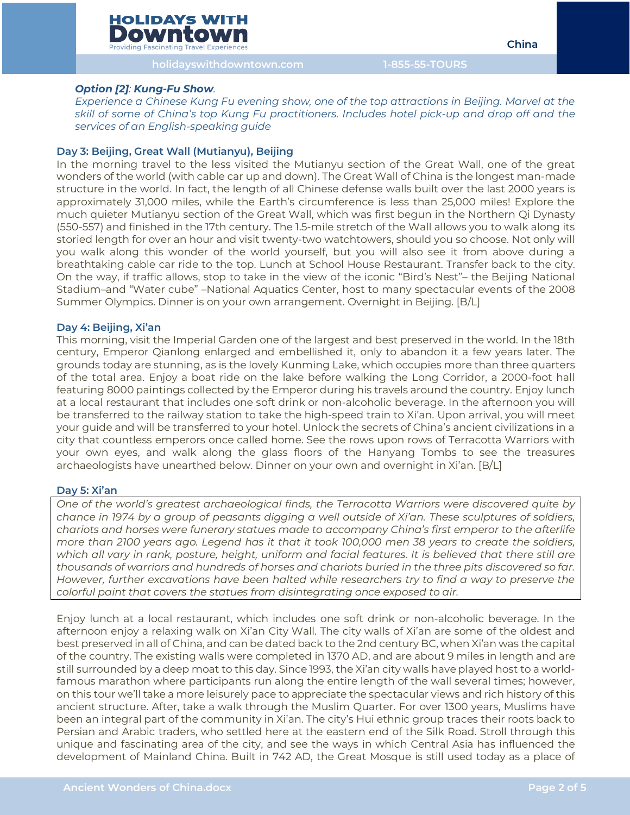**holidayswithdowntown.com 1-855-55-TOURS**

#### *Option [2]: Kung-Fu Show.*

*Experience a Chinese Kung Fu evening show, one of the top attractions in Beijing. Marvel at the skill of some of China's top Kung Fu practitioners. Includes hotel pick-up and drop off and the services of an English-speaking guide*

#### **Day 3: Beijing, Great Wall (Mutianyu), Beijing**

In the morning travel to the less visited the Mutianyu section of the Great Wall, one of the great wonders of the world (with cable car up and down). The Great Wall of China is the longest man-made structure in the world. In fact, the length of all Chinese defense walls built over the last 2000 years is approximately 31,000 miles, while the Earth's circumference is less than 25,000 miles! Explore the much quieter Mutianyu section of the Great Wall, which was first begun in the Northern Qi Dynasty (550-557) and finished in the 17th century. The 1.5-mile stretch of the Wall allows you to walk along its storied length for over an hour and visit twenty-two watchtowers, should you so choose. Not only will you walk along this wonder of the world yourself, but you will also see it from above during a breathtaking cable car ride to the top. Lunch at School House Restaurant. Transfer back to the city. On the way, if traffic allows, stop to take in the view of the iconic "Bird's Nest"– the Beijing National Stadium–and "Water cube" –National Aquatics Center, host to many spectacular events of the 2008 Summer Olympics. Dinner is on your own arrangement. Overnight in Beijing. [B/L]

#### **Day 4: Beijing, Xi'an**

This morning, visit the Imperial Garden one of the largest and best preserved in the world. In the 18th century, Emperor Qianlong enlarged and embellished it, only to abandon it a few years later. The grounds today are stunning, as is the lovely Kunming Lake, which occupies more than three quarters of the total area. Enjoy a boat ride on the lake before walking the Long Corridor, a 2000-foot hall featuring 8000 paintings collected by the Emperor during his travels around the country. Enjoy lunch at a local restaurant that includes one soft drink or non-alcoholic beverage. In the afternoon you will be transferred to the railway station to take the high-speed train to Xi'an. Upon arrival, you will meet your guide and will be transferred to your hotel. Unlock the secrets of China's ancient civilizations in a city that countless emperors once called home. See the rows upon rows of Terracotta Warriors with your own eyes, and walk along the glass floors of the Hanyang Tombs to see the treasures archaeologists have unearthed below. Dinner on your own and overnight in Xi'an. [B/L]

#### **Day 5: Xi'an**

*One of the world's greatest archaeological finds, the Terracotta Warriors were discovered quite by chance in 1974 by a group of peasants digging a well outside of Xi'an. These sculptures of soldiers, chariots and horses were funerary statues made to accompany China's first emperor to the afterlife more than 2100 years ago. Legend has it that it took 100,000 men 38 years to create the soldiers, which all vary in rank, posture, height, uniform and facial features. It is believed that there still are thousands of warriors and hundreds of horses and chariots buried in the three pits discovered so far. However, further excavations have been halted while researchers try to find a way to preserve the colorful paint that covers the statues from disintegrating once exposed to air.* 

Enjoy lunch at a local restaurant, which includes one soft drink or non-alcoholic beverage. In the afternoon enjoy a relaxing walk on Xi'an City Wall. The city walls of Xi'an are some of the oldest and best preserved in all of China, and can be dated back to the 2nd century BC, when Xi'an was the capital of the country. The existing walls were completed in 1370 AD, and are about 9 miles in length and are still surrounded by a deep moat to this day. Since 1993, the Xi'an city walls have played host to a worldfamous marathon where participants run along the entire length of the wall several times; however, on this tour we'll take a more leisurely pace to appreciate the spectacular views and rich history of this ancient structure. After, take a walk through the Muslim Quarter. For over 1300 years, Muslims have been an integral part of the community in Xi'an. The city's Hui ethnic group traces their roots back to Persian and Arabic traders, who settled here at the eastern end of the Silk Road. Stroll through this unique and fascinating area of the city, and see the ways in which Central Asia has influenced the development of Mainland China. Built in 742 AD, the Great Mosque is still used today as a place of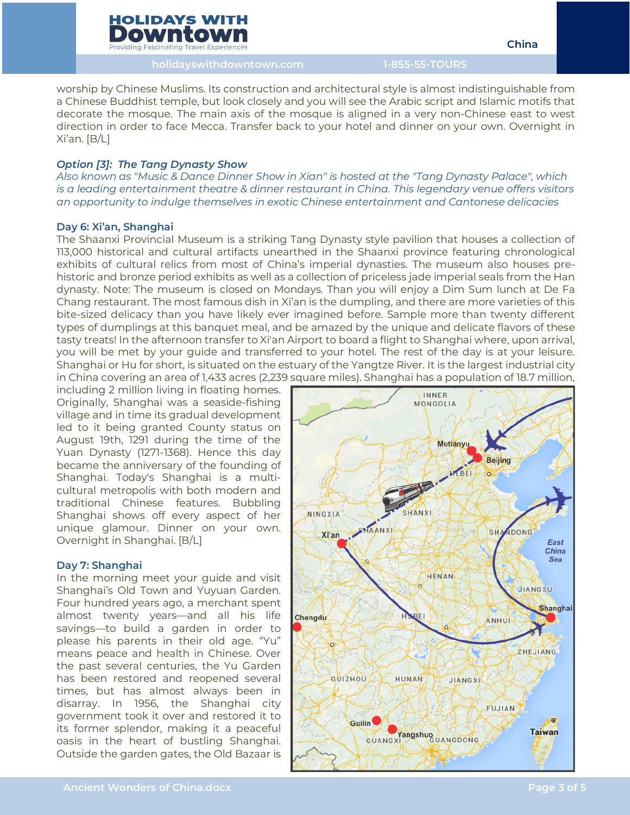

**Providing Fascinating Travel Experience:** 

**holidayswithdowntown.com 1-855-55-TOURS**

worship by Chinese Muslims. Its construction and architectural style is almost indistinguishable from a Chinese Buddhist temple, but look closely and you will see the Arabic script and Islamic motifs that decorate the mosque. The main axis of the mosque is aligned in a very non-Chinese east to west direction in order to face Mecca. Transfer back to your hotel and dinner on your own. Overnight in Xi'an. [B/L]

## *Option [3]: The Tang Dynasty Show*

*Also known as "Music & Dance Dinner Show in Xian" is hosted at the "Tang Dynasty Palace", which is a leading entertainment theatre & dinner restaurant in China. This legendary venue offers visitors an opportunity to indulge themselves in exotic Chinese entertainment and Cantonese delicacies*

## **Day 6: Xi'an, Shanghai**

The Shaanxi Provincial Museum is a striking Tang Dynasty style pavilion that houses a collection of 113,000 historical and cultural artifacts unearthed in the Shaanxi province featuring chronological exhibits of cultural relics from most of China's imperial dynasties. The museum also houses prehistoric and bronze period exhibits as well as a collection of priceless jade imperial seals from the Han dynasty. Note: The museum is closed on Mondays. Than you will enjoy a Dim Sum lunch at De Fa Chang restaurant. The most famous dish in Xi'an is the dumpling, and there are more varieties of this bite-sized delicacy than you have likely ever imagined before. Sample more than twenty different types of dumplings at this banquet meal, and be amazed by the unique and delicate flavors of these tasty treats! In the afternoon transfer to Xi'an Airport to board a flight to Shanghai where, upon arrival, you will be met by your guide and transferred to your hotel. The rest of the day is at your leisure. Shanghai or Hu for short, is situated on the estuary of the Yangtze River. It is the largest industrial city in China covering an area of 1,433 acres (2,239 square miles). Shanghai has a population of 18.7 million,

including 2 million living in floating homes. Originally, Shanghai was a seaside-fishing village and in time its gradual development led to it being granted County status on August 19th, 1291 during the time of the Yuan Dynasty (1271-1368). Hence this day became the anniversary of the founding of Shanghai. Today's Shanghai is a multicultural metropolis with both modern and traditional Chinese features. Bubbling Shanghai shows off every aspect of her unique glamour. Dinner on your own. Overnight in Shanghai. [B/L]

## **Day 7: Shanghai**

In the morning meet your guide and visit Shanghai's Old Town and Yuyuan Garden. Four hundred years ago, a merchant spent almost twenty years—and all his life savings—to build a garden in order to please his parents in their old age. "Yu" means peace and health in Chinese. Over the past several centuries, the Yu Garden has been restored and reopened several times, but has almost always been in disarray. In 1956, the Shanghai city government took it over and restored it to its former splendor, making it a peaceful oasis in the heart of bustling Shanghai. Outside the garden gates, the Old Bazaar is

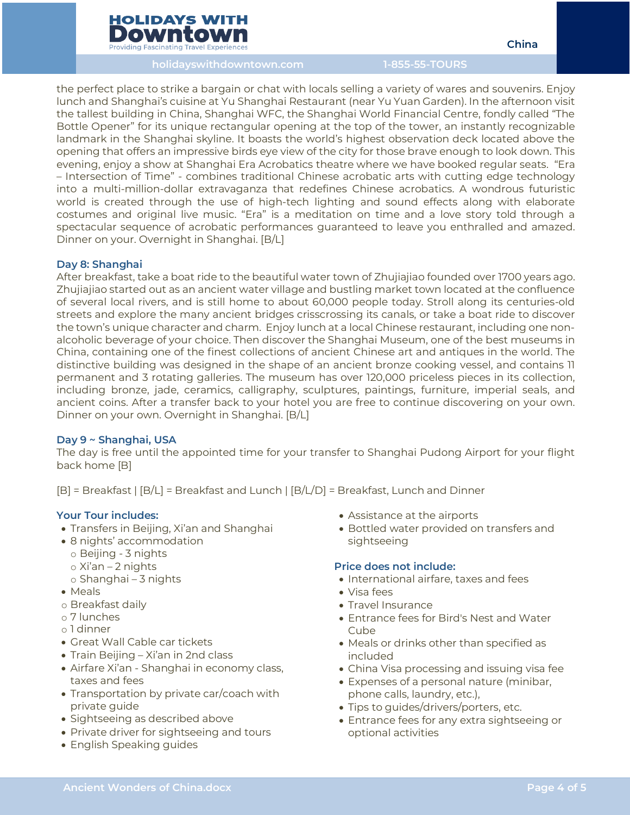

**holidayswithdowntown.com 1-855-55-TOURS**

the perfect place to strike a bargain or chat with locals selling a variety of wares and souvenirs. Enjoy lunch and Shanghai's cuisine at Yu Shanghai Restaurant (near Yu Yuan Garden). In the afternoon visit the tallest building in China, Shanghai WFC, the Shanghai World Financial Centre, fondly called "The Bottle Opener" for its unique rectangular opening at the top of the tower, an instantly recognizable landmark in the Shanghai skyline. It boasts the world's highest observation deck located above the opening that offers an impressive birds eye view of the city for those brave enough to look down. This evening, enjoy a show at Shanghai Era Acrobatics theatre where we have booked regular seats. "Era – Intersection of Time" - combines traditional Chinese acrobatic arts with cutting edge technology into a multi-million-dollar extravaganza that redefines Chinese acrobatics. A wondrous futuristic world is created through the use of high-tech lighting and sound effects along with elaborate costumes and original live music. "Era" is a meditation on time and a love story told through a spectacular sequence of acrobatic performances guaranteed to leave you enthralled and amazed. Dinner on your. Overnight in Shanghai. [B/L]

## **Day 8: Shanghai**

After breakfast, take a boat ride to the beautiful water town of Zhujiajiao founded over 1700 years ago. Zhujiajiao started out as an ancient water village and bustling market town located at the confluence of several local rivers, and is still home to about 60,000 people today. Stroll along its centuries-old streets and explore the many ancient bridges crisscrossing its canals, or take a boat ride to discover the town's unique character and charm. Enjoy lunch at a local Chinese restaurant, including one nonalcoholic beverage of your choice. Then discover the Shanghai Museum, one of the best museums in China, containing one of the finest collections of ancient Chinese art and antiques in the world. The distinctive building was designed in the shape of an ancient bronze cooking vessel, and contains 11 permanent and 3 rotating galleries. The museum has over 120,000 priceless pieces in its collection, including bronze, jade, ceramics, calligraphy, sculptures, paintings, furniture, imperial seals, and ancient coins. After a transfer back to your hotel you are free to continue discovering on your own. Dinner on your own. Overnight in Shanghai. [B/L]

## **Day 9 ~ Shanghai, USA**

The day is free until the appointed time for your transfer to Shanghai Pudong Airport for your flight back home [B]

[B] = Breakfast | [B/L] = Breakfast and Lunch | [B/L/D] = Breakfast, Lunch and Dinner

## **Your Tour includes:**

- Transfers in Beijing, Xi'an and Shanghai
- 8 nights' accommodation
- o Beijing 3 nights
- o Xi'an 2 nights
- o Shanghai 3 nights
- Meals
- o Breakfast daily
- o 7 lunches
- o 1 dinner
- Great Wall Cable car tickets
- Train Beijing Xi'an in 2nd class
- Airfare Xi'an Shanghai in economy class, taxes and fees
- Transportation by private car/coach with private guide
- Sightseeing as described above
- Private driver for sightseeing and tours
- English Speaking guides
- Assistance at the airports
- Bottled water provided on transfers and sightseeing

## **Price does not include:**

- International airfare, taxes and fees
- Visa fees
- Travel Insurance
- Entrance fees for Bird's Nest and Water Cube
- Meals or drinks other than specified as included
- China Visa processing and issuing visa fee
- Expenses of a personal nature (minibar, phone calls, laundry, etc.),
- Tips to guides/drivers/porters, etc.
- Entrance fees for any extra sightseeing or optional activities